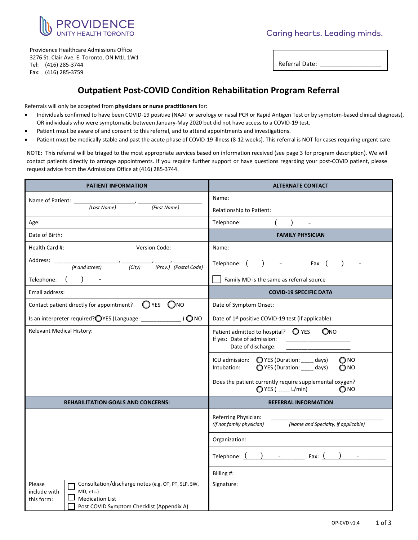

Caring hearts. Leading minds.

Providence Healthcare Admissions Office 3276 St. Clair Ave. E. Toronto, ON M1L 1W1 Tel: (416) 285-3744 Fax: (416) 285-3759

Referral Date:

### **Outpatient Post-COVID Condition Rehabilitation Program Referral**

Referrals will only be accepted from **physicians or nurse practitioners** for:

- Individuals confirmed to have been COVID-19 positive (NAAT or serology or nasal PCR or Rapid Antigen Test or by symptom-based clinical diagnosis), OR individuals who were symptomatic between January-May 2020 but did not have access to a COVID-19 test.
- Patient must be aware of and consent to this referral, and to attend appointments and investigations.
- Patient must be medically stable and past the acute phase of COVID-19 illness (8-12 weeks). This referral is NOT for cases requiring urgent care.

NOTE: This referral will be triaged to the most appropriate services based on information received (see page 3 for program description). We will contact patients directly to arrange appointments. If you require further support or have questions regarding your post-COVID patient, please request advice from the Admissions Office at (416) 285-3744.

| PATIENT INFORMATION                                                                                                                                                             | <b>ALTERNATE CONTACT</b>                                                                                                  |  |
|---------------------------------------------------------------------------------------------------------------------------------------------------------------------------------|---------------------------------------------------------------------------------------------------------------------------|--|
| Name of Patient:                                                                                                                                                                | Name:                                                                                                                     |  |
| (Last Name)<br>(First Name)                                                                                                                                                     | Relationship to Patient:                                                                                                  |  |
| Age:                                                                                                                                                                            | Telephone:                                                                                                                |  |
| Date of Birth:                                                                                                                                                                  | <b>FAMILY PHYSICIAN</b>                                                                                                   |  |
| Health Card #:<br>Version Code:                                                                                                                                                 | Name:                                                                                                                     |  |
| Address:<br>$\overline{(City)}$<br>$(Prov.)$ $(Postal Code)$<br>$#$ and street)                                                                                                 | Telephone: (<br>Fax: $($                                                                                                  |  |
| Telephone:                                                                                                                                                                      | Family MD is the same as referral source                                                                                  |  |
| Email address:                                                                                                                                                                  | <b>COVID-19 SPECIFIC DATA</b>                                                                                             |  |
| $\bigcirc$ YES<br>$\bigcirc$ NO<br>Contact patient directly for appointment?                                                                                                    | Date of Symptom Onset:                                                                                                    |  |
| Is an interpreter required? OYES (Language: _______________) ONO                                                                                                                | Date of 1 <sup>st</sup> positive COVID-19 test (if applicable):                                                           |  |
| Relevant Medical History:                                                                                                                                                       | Patient admitted to hospital? $\bigcirc$ YES<br>QNO<br>If yes: Date of admission:<br>Date of discharge:                   |  |
|                                                                                                                                                                                 | ○ YES (Duration: __ days)<br>$\bigcirc$ NO<br>ICU admission:<br>○ YES (Duration: __ days)<br>$\bigcirc$ NO<br>Intubation: |  |
|                                                                                                                                                                                 | Does the patient currently require supplemental oxygen?<br>QYES( L/min)<br>$\bigcirc$ NO                                  |  |
| <b>REHABILITATION GOALS AND CONCERNS:</b>                                                                                                                                       | <b>REFERRAL INFORMATION</b>                                                                                               |  |
|                                                                                                                                                                                 | Referring Physician:<br>(If not family physician)<br>(Name and Specialty, if applicable)                                  |  |
|                                                                                                                                                                                 | Organization:                                                                                                             |  |
|                                                                                                                                                                                 | $-$ Fax: $($<br>Telephone: (                                                                                              |  |
|                                                                                                                                                                                 | Billing #:                                                                                                                |  |
| Consultation/discharge notes (e.g. OT, PT, SLP, SW,<br>Please<br>include with<br>MD, etc.)<br><b>Medication List</b><br>this form:<br>Post COVID Symptom Checklist (Appendix A) | Signature:                                                                                                                |  |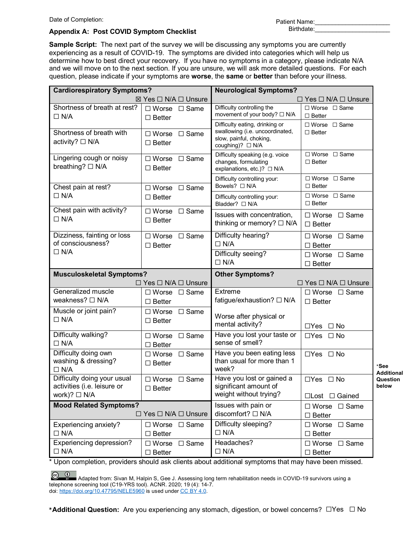Date of Completion:

| Patient Name: |  |
|---------------|--|
| Birthdate:    |  |

#### **Appendix A: Post COVID Symptom Checklist**

**Sample Script:** The next part of the survey we will be discussing any symptoms you are currently experiencing as a result of COVID-19. The symptoms are divided into categories which will help us determine how to best direct your recovery. If you have no symptoms in a category, please indicate N/A and we will move on to the next section. If you are unsure, we will ask more detailed questions. For each question, please indicate if your symptoms are **worse**, the **same** or **better** than before your illness.

| <b>Cardiorespiratory Symptoms?</b>                                              |                                                    | <b>Neurological Symptoms?</b>                                                                                    |                                                    |                        |
|---------------------------------------------------------------------------------|----------------------------------------------------|------------------------------------------------------------------------------------------------------------------|----------------------------------------------------|------------------------|
|                                                                                 | $\boxtimes$ Yes $\Box$ N/A $\Box$ Unsure           |                                                                                                                  | $\Box$ Yes $\Box$ N/A $\Box$ Unsure                |                        |
| Shortness of breath at rest?<br>$\Box$ N/A                                      | $\Box$ Worse $\Box$ Same<br>$\Box$ Better          | Difficulty controlling the<br>movement of your body? □ N/A                                                       | $\Box$ Worse $\Box$ Same<br>$\Box$ Better          |                        |
| Shortness of breath with<br>activity? $\Box$ N/A                                | $\Box$ Worse $\Box$ Same<br>$\Box$ Better          | Difficulty eating, drinking or<br>swallowing (i.e. uncoordinated,<br>slow, painful, choking,<br>coughing)? □ N/A | $\Box$ Worse $\Box$ Same<br>$\Box$ Better          |                        |
| Lingering cough or noisy<br>breathing? □ N/A                                    | $\Box$ Worse $\Box$ Same<br>$\Box$ Better          | Difficulty speaking (e.g. voice<br>changes, formulating<br>explanations, etc.)? □ N/A                            | $\Box$ Worse $\Box$ Same<br>$\Box$ Better          |                        |
| Chest pain at rest?                                                             | $\Box$ Worse $\Box$ Same                           | Difficulty controlling your:<br>Bowels? □ N/A                                                                    | $\Box$ Worse $\Box$ Same<br>$\Box$ Better          |                        |
| $\Box$ N/A                                                                      | $\Box$ Better                                      | Difficulty controlling your:<br>Bladder? □ N/A                                                                   | $\Box$ Worse $\Box$ Same<br>$\Box$ Better          |                        |
| Chest pain with activity?<br>$\Box$ N/A                                         | □ Worse □ Same<br>$\Box$ Better                    | Issues with concentration,<br>thinking or memory? $\Box$ N/A                                                     | $\Box$ Worse $\Box$ Same<br>$\Box$ Better          |                        |
| Dizziness, fainting or loss<br>of consciousness?                                | $\Box$ Worse $\Box$ Same<br>$\Box$ Better          | Difficulty hearing?<br>$\Box$ N/A                                                                                | $\Box$ Same<br>$\Box$ Worse<br>$\square$ Better    |                        |
| $\Box$ N/A                                                                      |                                                    | Difficulty seeing?<br>$\Box$ N/A                                                                                 | $\Box$ Same<br>$\square$ Worse<br>$\Box$ Better    |                        |
| <b>Musculoskeletal Symptoms?</b>                                                |                                                    |                                                                                                                  |                                                    |                        |
|                                                                                 |                                                    | <b>Other Symptoms?</b>                                                                                           |                                                    |                        |
|                                                                                 | $\Box$ Yes $\Box$ N/A $\Box$ Unsure                |                                                                                                                  | $\Box$ Yes $\Box$ N/A $\Box$ Unsure                |                        |
| Generalized muscle<br>weakness? □ N/A                                           | $\Box$ Worse $\Box$ Same<br>$\square$ Better       | Extreme<br>fatigue/exhaustion? □ N/A                                                                             | $\Box$ Worse $\Box$ Same<br>$\Box$ Better          |                        |
| Muscle or joint pain?<br>$\Box$ N/A                                             | $\Box$ Worse $\Box$ Same<br>$\Box$ Better          | Worse after physical or<br>mental activity?                                                                      | $\Box$ Yes $\Box$ No                               |                        |
| Difficulty walking?<br>$\Box$ N/A                                               | $\Box$ Worse $\Box$ Same<br>$\Box$ Better          | Have you lost your taste or<br>sense of smell?                                                                   | $\Box$ Yes $\Box$ No                               |                        |
| Difficulty doing own<br>washing & dressing?<br>$\Box$ N/A                       | $\Box$ Worse $\Box$ Same<br>$\Box$ Better          | Have you been eating less<br>than usual for more than 1<br>week?                                                 | $\Box$ Yes $\Box$ No                               | *See                   |
| Difficulty doing your usual<br>activities (i.e. leisure or<br>work)? $\Box$ N/A | $\square$ Worse<br>$\square$ Same<br>$\Box$ Better | Have you lost or gained a<br>significant amount of<br>weight without trying?                                     | $\Box$ Yes $\Box$ No<br>□Lost □ Gained             | below                  |
| <b>Mood Related Symptoms?</b>                                                   | $\Box$ Yes $\Box$ N/A $\Box$ Unsure                | Issues with pain or<br>discomfort? □ N/A                                                                         | $\Box$ Same<br>$\square$ Worse<br>$\square$ Better |                        |
| Experiencing anxiety?<br>$\Box$ N/A                                             | □ Worse □ Same<br>$\Box$ Better                    | Difficulty sleeping?<br>$\Box$ N/A                                                                               | $\square$ Worse<br>$\Box$ Same<br>$\Box$ Better    | Additional<br>Question |

\* Upon completion, providers should ask clients about additional symptoms that may have been missed.

**\*Additional Question:** Are you experiencing any stomach, digestion, or bowel concerns? ☐Yes ☐ No

 $\bigcirc$   $\bigcirc$  Adapted from: Sivan M, Halpin S, Gee J. Assessing long term rehabilitation needs in COVID-19 survivors using a telephone screening tool (C19-YRS tool). ACNR. 2020; 19 (4): 14-7. doi: <u>https://doi.org/10.47795/NELE5960</u> is used under <u>CC BY 4.0</u>.